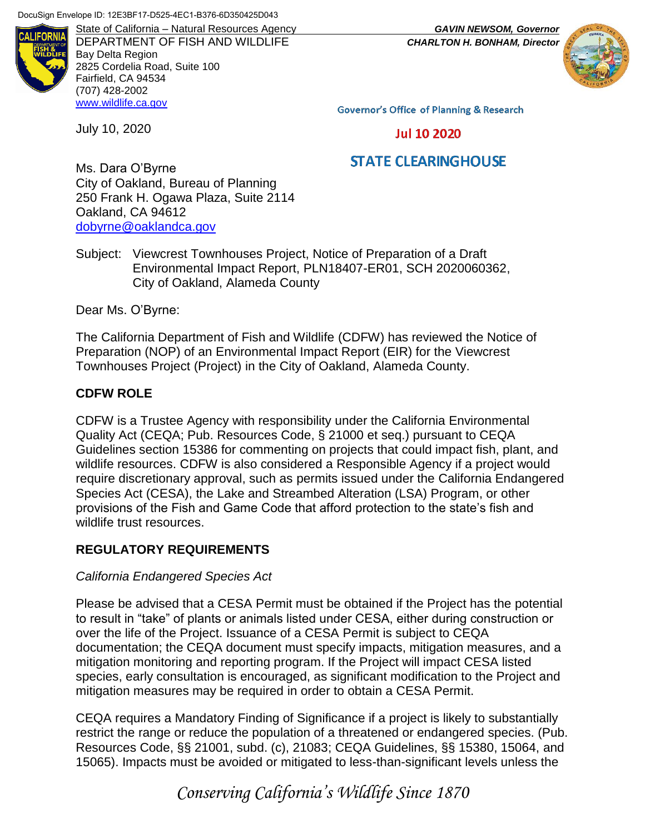

DEPARTMENT OF FISH AND WILDLIFE *CHARLTON H. BONHAM, Director* Bay Delta Region 2825 Cordelia Road, Suite 100 Fairfield, CA 94534 (707) 428-2002 [www.wildlife.ca.gov](http://www.wildlife.ca.gov/)

State of California – Natural Resources Agency *GAVIN NEWSOM, Governor*

**Governor's Office of Planning & Research** 

**Jul 10 2020** 

# **STATE CLEARINGHOUSE**

Ms. Dara O'Byrne City of Oakland, Bureau of Planning 250 Frank H. Ogawa Plaza, Suite 2114 Oakland, CA 94612 [dobyrne@oaklandca.gov](mailto:dobyrne@oaklandca.gov)

Subject: Viewcrest Townhouses Project, Notice of Preparation of a Draft Environmental Impact Report, PLN18407-ER01, SCH 2020060362, City of Oakland, Alameda County

Dear Ms. O'Byrne:

July 10, 2020

The California Department of Fish and Wildlife (CDFW) has reviewed the Notice of Preparation (NOP) of an Environmental Impact Report (EIR) for the Viewcrest Townhouses Project (Project) in the City of Oakland, Alameda County.

### **CDFW ROLE**

CDFW is a Trustee Agency with responsibility under the California Environmental Quality Act (CEQA; Pub. Resources Code, § 21000 et seq.) pursuant to CEQA Guidelines section 15386 for commenting on projects that could impact fish, plant, and wildlife resources. CDFW is also considered a Responsible Agency if a project would require discretionary approval, such as permits issued under the California Endangered Species Act (CESA), the Lake and Streambed Alteration (LSA) Program, or other provisions of the Fish and Game Code that afford protection to the state's fish and wildlife trust resources.

## **REGULATORY REQUIREMENTS**

### *California Endangered Species Act*

Please be advised that a CESA Permit must be obtained if the Project has the potential to result in "take" of plants or animals listed under CESA, either during construction or over the life of the Project. Issuance of a CESA Permit is subject to CEQA documentation; the CEQA document must specify impacts, mitigation measures, and a mitigation monitoring and reporting program. If the Project will impact CESA listed species, early consultation is encouraged, as significant modification to the Project and mitigation measures may be required in order to obtain a CESA Permit.

CEQA requires a Mandatory Finding of Significance if a project is likely to substantially restrict the range or reduce the population of a threatened or endangered species. (Pub. Resources Code, §§ 21001, subd. (c), 21083; CEQA Guidelines, §§ 15380, 15064, and 15065). Impacts must be avoided or mitigated to less-than-significant levels unless the

*Conserving California's Wildlife Since 1870*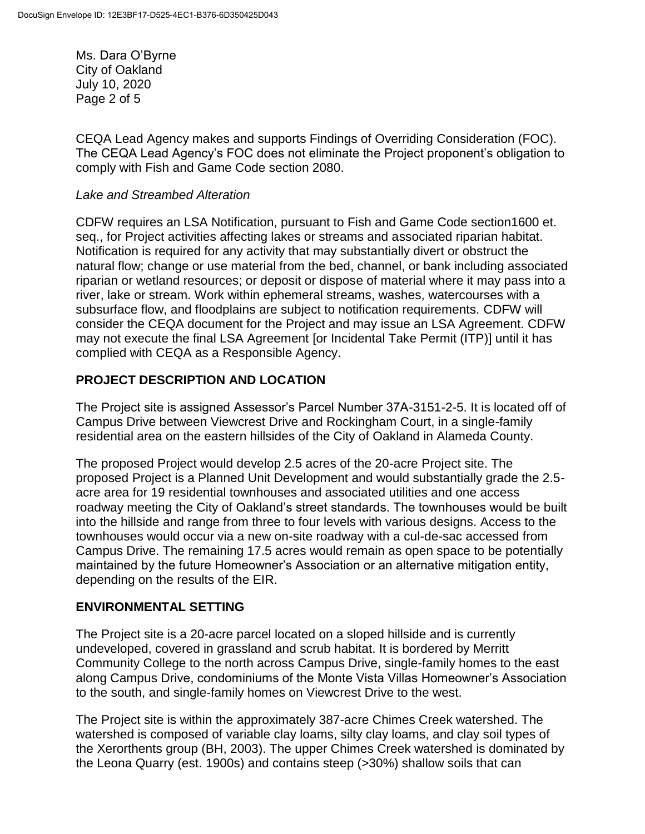Ms. Dara O'Byrne City of Oakland July 10, 2020 Page 2 of 5

CEQA Lead Agency makes and supports Findings of Overriding Consideration (FOC). The CEQA Lead Agency's FOC does not eliminate the Project proponent's obligation to comply with Fish and Game Code section 2080.

#### *Lake and Streambed Alteration*

CDFW requires an LSA Notification, pursuant to Fish and Game Code section1600 et. seq., for Project activities affecting lakes or streams and associated riparian habitat. Notification is required for any activity that may substantially divert or obstruct the natural flow; change or use material from the bed, channel, or bank including associated riparian or wetland resources; or deposit or dispose of material where it may pass into a river, lake or stream. Work within ephemeral streams, washes, watercourses with a subsurface flow, and floodplains are subject to notification requirements. CDFW will consider the CEQA document for the Project and may issue an LSA Agreement. CDFW may not execute the final LSA Agreement [or Incidental Take Permit (ITP)] until it has complied with CEQA as a Responsible Agency.

### **PROJECT DESCRIPTION AND LOCATION**

The Project site is assigned Assessor's Parcel Number 37A-3151-2-5. It is located off of Campus Drive between Viewcrest Drive and Rockingham Court, in a single-family residential area on the eastern hillsides of the City of Oakland in Alameda County.

The proposed Project would develop 2.5 acres of the 20-acre Project site. The proposed Project is a Planned Unit Development and would substantially grade the 2.5 acre area for 19 residential townhouses and associated utilities and one access roadway meeting the City of Oakland's street standards. The townhouses would be built into the hillside and range from three to four levels with various designs. Access to the townhouses would occur via a new on-site roadway with a cul-de-sac accessed from Campus Drive. The remaining 17.5 acres would remain as open space to be potentially maintained by the future Homeowner's Association or an alternative mitigation entity, depending on the results of the EIR.

### **ENVIRONMENTAL SETTING**

The Project site is a 20-acre parcel located on a sloped hillside and is currently undeveloped, covered in grassland and scrub habitat. It is bordered by Merritt Community College to the north across Campus Drive, single-family homes to the east along Campus Drive, condominiums of the Monte Vista Villas Homeowner's Association to the south, and single-family homes on Viewcrest Drive to the west.

The Project site is within the approximately 387-acre Chimes Creek watershed. The watershed is composed of variable clay loams, silty clay loams, and clay soil types of the Xerorthents group (BH, 2003). The upper Chimes Creek watershed is dominated by the Leona Quarry (est. 1900s) and contains steep (>30%) shallow soils that can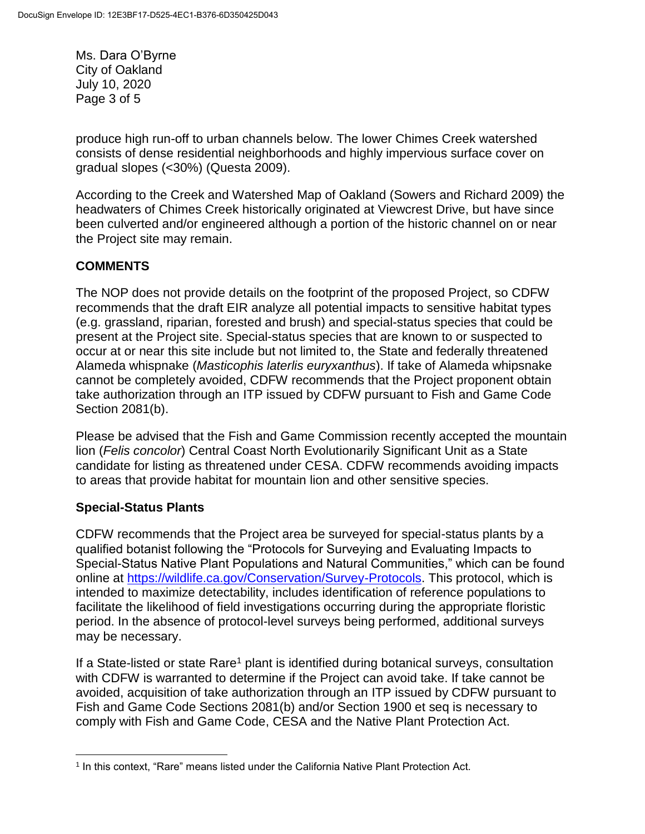Ms. Dara O'Byrne City of Oakland July 10, 2020 Page 3 of 5

produce high run-off to urban channels below. The lower Chimes Creek watershed consists of dense residential neighborhoods and highly impervious surface cover on gradual slopes (<30%) (Questa 2009).

According to the Creek and Watershed Map of Oakland (Sowers and Richard 2009) the headwaters of Chimes Creek historically originated at Viewcrest Drive, but have since been culverted and/or engineered although a portion of the historic channel on or near the Project site may remain.

# **COMMENTS**

The NOP does not provide details on the footprint of the proposed Project, so CDFW recommends that the draft EIR analyze all potential impacts to sensitive habitat types (e.g. grassland, riparian, forested and brush) and special-status species that could be present at the Project site. Special-status species that are known to or suspected to occur at or near this site include but not limited to, the State and federally threatened Alameda whispnake (*Masticophis laterlis euryxanthus*). If take of Alameda whipsnake cannot be completely avoided, CDFW recommends that the Project proponent obtain take authorization through an ITP issued by CDFW pursuant to Fish and Game Code Section 2081(b).

Please be advised that the Fish and Game Commission recently accepted the mountain lion (*Felis concolor*) Central Coast North Evolutionarily Significant Unit as a State candidate for listing as threatened under CESA. CDFW recommends avoiding impacts to areas that provide habitat for mountain lion and other sensitive species.

## **Special-Status Plants**

CDFW recommends that the Project area be surveyed for special-status plants by a qualified botanist following the "Protocols for Surveying and Evaluating Impacts to Special-Status Native Plant Populations and Natural Communities," which can be found online at [https://wildlife.ca.gov/Conservation/Survey-Protocols.](https://wildlife.ca.gov/Conservation/Survey-Protocols) This protocol, which is intended to maximize detectability, includes identification of reference populations to facilitate the likelihood of field investigations occurring during the appropriate floristic period. In the absence of protocol-level surveys being performed, additional surveys may be necessary.

If a State-listed or state Rare<sup>1</sup> plant is identified during botanical surveys, consultation with CDFW is warranted to determine if the Project can avoid take. If take cannot be avoided, acquisition of take authorization through an ITP issued by CDFW pursuant to Fish and Game Code Sections 2081(b) and/or Section 1900 et seq is necessary to comply with Fish and Game Code, CESA and the Native Plant Protection Act.

 $\overline{a}$ 1 In this context, "Rare" means listed under the California Native Plant Protection Act.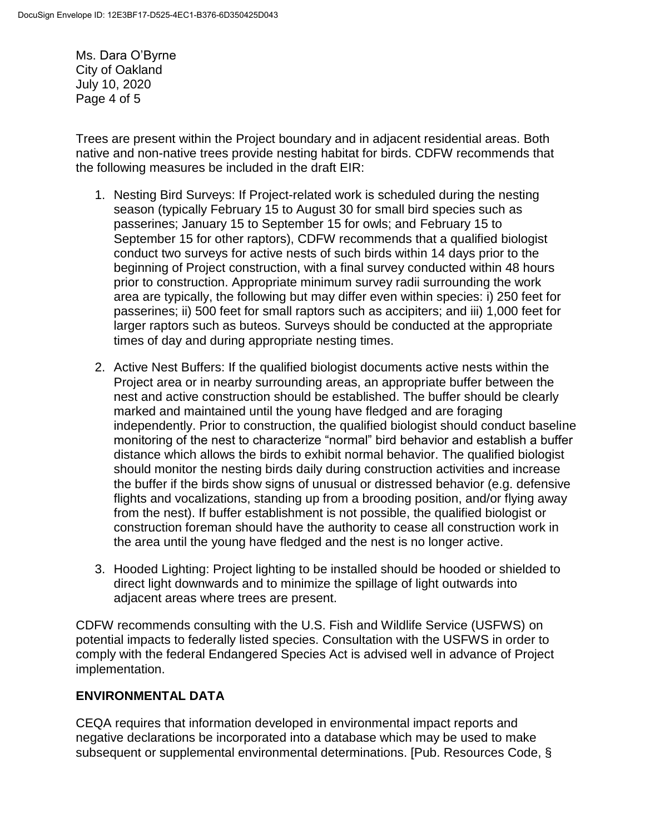Ms. Dara O'Byrne City of Oakland July 10, 2020 Page 4 of 5

Trees are present within the Project boundary and in adjacent residential areas. Both native and non-native trees provide nesting habitat for birds. CDFW recommends that the following measures be included in the draft EIR:

- 1. Nesting Bird Surveys: If Project-related work is scheduled during the nesting season (typically February 15 to August 30 for small bird species such as passerines; January 15 to September 15 for owls; and February 15 to September 15 for other raptors), CDFW recommends that a qualified biologist conduct two surveys for active nests of such birds within 14 days prior to the beginning of Project construction, with a final survey conducted within 48 hours prior to construction. Appropriate minimum survey radii surrounding the work area are typically, the following but may differ even within species: i) 250 feet for passerines; ii) 500 feet for small raptors such as accipiters; and iii) 1,000 feet for larger raptors such as buteos. Surveys should be conducted at the appropriate times of day and during appropriate nesting times.
- 2. Active Nest Buffers: If the qualified biologist documents active nests within the Project area or in nearby surrounding areas, an appropriate buffer between the nest and active construction should be established. The buffer should be clearly marked and maintained until the young have fledged and are foraging independently. Prior to construction, the qualified biologist should conduct baseline monitoring of the nest to characterize "normal" bird behavior and establish a buffer distance which allows the birds to exhibit normal behavior. The qualified biologist should monitor the nesting birds daily during construction activities and increase the buffer if the birds show signs of unusual or distressed behavior (e.g. defensive flights and vocalizations, standing up from a brooding position, and/or flying away from the nest). If buffer establishment is not possible, the qualified biologist or construction foreman should have the authority to cease all construction work in the area until the young have fledged and the nest is no longer active.
- 3. Hooded Lighting: Project lighting to be installed should be hooded or shielded to direct light downwards and to minimize the spillage of light outwards into adjacent areas where trees are present.

CDFW recommends consulting with the U.S. Fish and Wildlife Service (USFWS) on potential impacts to federally listed species. Consultation with the USFWS in order to comply with the federal Endangered Species Act is advised well in advance of Project implementation.

## **ENVIRONMENTAL DATA**

CEQA requires that information developed in environmental impact reports and negative declarations be incorporated into a database which may be used to make subsequent or supplemental environmental determinations. [Pub. Resources Code, §